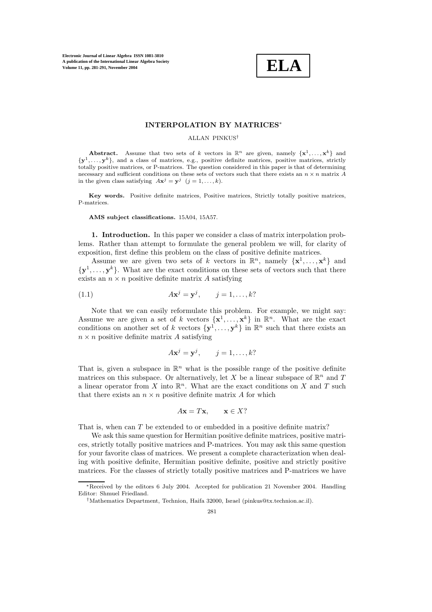

# **INTERPOLATION BY MATRICES**∗

### ALLAN PINKUS†

**Abstract.** Assume that two sets of k vectors in  $\mathbb{R}^n$  are given, namely  $\{x^1, \ldots, x^k\}$  and {**y**1,..., **y**k}, and a class of matrices, e.g., positive definite matrices, positive matrices, strictly totally positive matrices, or P-matrices. The question considered in this paper is that of determining necessary and sufficient conditions on these sets of vectors such that there exists an  $n \times n$  matrix A in the given class satisfying  $A\mathbf{x}^j = \mathbf{y}^j$  ( $j = 1, \ldots, k$ ).

**Key words.** Positive definite matrices, Positive matrices, Strictly totally positive matrices, P-matrices.

#### **AMS subject classifications.** 15A04, 15A57.

**1. Introduction.** In this paper we consider a class of matrix interpolation problems. Rather than attempt to formulate the general problem we will, for clarity of exposition, first define this problem on the class of positive definite matrices.

Assume we are given two sets of k vectors in  $\mathbb{R}^n$ , namely  $\{x^1, \ldots, x^k\}$  and  ${\bf y}^1,\ldots,{\bf y}^k$ . What are the exact conditions on these sets of vectors such that there exists an  $n \times n$  positive definite matrix A satisfying

$$
(1.1) \t\t Ax^j = \mathbf{y}^j, \t j = 1, \dots, k?
$$

Note that we can easily reformulate this problem. For example, we might say: Assume we are given a set of k vectors  $\{x^1, \ldots, x^k\}$  in  $\mathbb{R}^n$ . What are the exact conditions on another set of k vectors  $\{y^1, \ldots, y^k\}$  in  $\mathbb{R}^n$  such that there exists an  $n \times n$  positive definite matrix A satisfying

$$
A\mathbf{x}^j = \mathbf{y}^j, \qquad j = 1, \dots, k?
$$

That is, given a subspace in  $\mathbb{R}^n$  what is the possible range of the positive definite matrices on this subspace. Or alternatively, let X be a linear subspace of  $\mathbb{R}^n$  and T a linear operator from X into  $\mathbb{R}^n$ . What are the exact conditions on X and T such that there exists an  $n \times n$  positive definite matrix A for which

$$
A\mathbf{x} = T\mathbf{x}, \qquad \mathbf{x} \in X?
$$

That is, when can T be extended to or embedded in a positive definite matrix?

We ask this same question for Hermitian positive definite matrices, positive matrices, strictly totally positive matrices and P-matrices. You may ask this same question for your favorite class of matrices. We present a complete characterization when dealing with positive definite, Hermitian positive definite, positive and strictly positive matrices. For the classes of strictly totally positive matrices and P-matrices we have

<sup>∗</sup>Received by the editors 6 July 2004. Accepted for publication 21 November 2004. Handling Editor: Shmuel Friedland.

<sup>†</sup>Mathematics Department, Technion, Haifa 32000, Israel (pinkus@tx.technion.ac.il).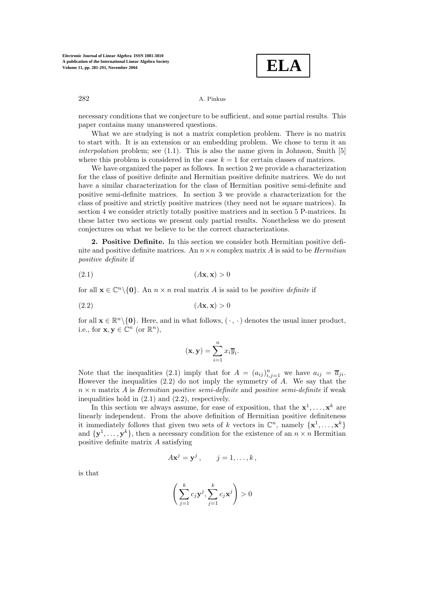**ELA**

# 282 A. Pinkus

necessary conditions that we conjecture to be sufficient, and some partial results. This paper contains many unanswered questions.

What we are studying is not a matrix completion problem. There is no matrix to start with. It is an extension or an embedding problem. We chose to term it an *interpolation* problem; see (1.1). This is also the name given in Johnson, Smith [5] where this problem is considered in the case  $k = 1$  for certain classes of matrices.

We have organized the paper as follows. In section 2 we provide a characterization for the class of positive definite and Hermitian positive definite matrices. We do not have a similar characterization for the class of Hermitian positive semi-definite and positive semi-definite matrices. In section 3 we provide a characterization for the class of positive and strictly positive matrices (they need not be square matrices). In section 4 we consider strictly totally positive matrices and in section 5 P-matrices. In these latter two sections we present only partial results. Nonetheless we do present conjectures on what we believe to be the correct characterizations.

**2. Positive Definite.** In this section we consider both Hermitian positive definite and positive definite matrices. An  $n \times n$  complex matrix A is said to be *Hermitian positive definite* if

(2.1) (A**x**, **x**) > 0

for all  $\mathbf{x} \in \mathbb{C}^n \setminus \{0\}$ . An  $n \times n$  real matrix A is said to be *positive definite* if

$$
(2.2) \t\t (A\mathbf{x}, \mathbf{x}) > 0
$$

for all  $\mathbf{x} \in \mathbb{R}^n \setminus \{0\}$ . Here, and in what follows,  $(\cdot, \cdot)$  denotes the usual inner product, i.e., for  $\mathbf{x}, \mathbf{y} \in \mathbb{C}^n$  (or  $\mathbb{R}^n$ ),

$$
(\mathbf{x}, \mathbf{y}) = \sum_{i=1}^{n} x_i \overline{y}_i.
$$

Note that the inequalities (2.1) imply that for  $A = (a_{ij})_{i,j=1}^n$  we have  $a_{ij} = \overline{a}_{ji}$ . However the inequalities  $(2.2)$  do not imply the symmetry of A. We say that the  $n \times n$  matrix A is *Hermitian positive semi-definite* and *positive semi-definite* if weak inequalities hold in (2.1) and (2.2), respectively.

In this section we always assume, for ease of exposition, that the  $x^1, \ldots, x^k$  are linearly independent. From the above definition of Hermitian positive definiteness it immediately follows that given two sets of k vectors in  $\mathbb{C}^n$ , namely  $\{\mathbf{x}^1,\ldots,\mathbf{x}^k\}$ and  ${\bf y}^1,\ldots,{\bf y}^k$ , then a necessary condition for the existence of an  $n \times n$  Hermitian positive definite matrix A satisfying

$$
A\mathbf{x}^j = \mathbf{y}^j\,,\qquad j=1,\ldots,k\,,
$$

is that

$$
\left(\sum_{j=1}^k c_j \mathbf{y}^j, \sum_{j=1}^k c_j \mathbf{x}^j\right) > 0
$$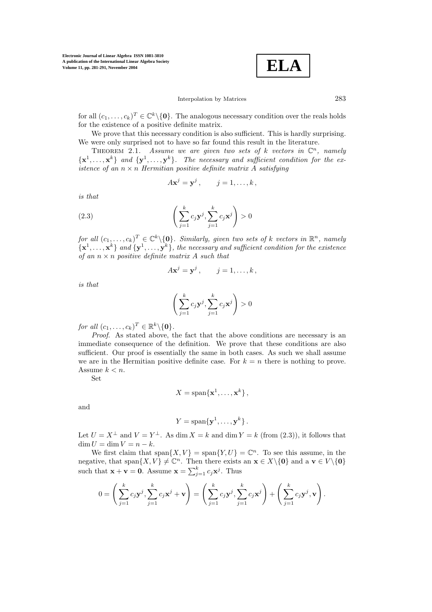$$
\boxed{\textbf{ELA}}
$$

# Interpolation by Matrices 283

for all  $(c_1,\ldots,c_k)^T \in \mathbb{C}^k \setminus \{0\}$ . The analogous necessary condition over the reals holds for the existence of a positive definite matrix.

We prove that this necessary condition is also sufficient. This is hardly surprising. We were only surprised not to have so far found this result in the literature.

THEOREM 2.1. *Assume we are given two sets of*  $k$  *vectors in*  $\mathbb{C}^n$ *, namely*  ${\bf x}^1, \ldots, {\bf x}^k$  *and*  ${\bf y}^1, \ldots, {\bf y}^k$ *. The necessary and sufficient condition for the existence of an*  $n \times n$  *Hermitian positive definite matrix A satisfying* 

$$
A\mathbf{x}^j = \mathbf{y}^j\,,\qquad j=1,\ldots,k\,,
$$

*is that*

(2.3) 
$$
\left(\sum_{j=1}^{k} c_j \mathbf{y}^j, \sum_{j=1}^{k} c_j \mathbf{x}^j\right) > 0
$$

*for all*  $(c_1, \ldots, c_k)^T \in \mathbb{C}^k \setminus \{0\}$ *. Similarly, given two sets of* k *vectors in*  $\mathbb{R}^n$ *, namely*  ${\bf x}^1,\ldots,{\bf x}^k$  *and*  ${\bf y}^1,\ldots,{\bf y}^k$ *, the necessary and sufficient condition for the existence of an* n × n *positive definite matrix* A *such that*

$$
A\mathbf{x}^j = \mathbf{y}^j, \qquad j = 1, \dots, k,
$$

*is that*

$$
\left(\sum_{j=1}^k c_j \mathbf{y}^j, \sum_{j=1}^k c_j \mathbf{x}^j\right) > 0
$$

*for all*  $(c_1, \ldots, c_k)^T \in \mathbb{R}^k \setminus \{0\}$ *.* 

*Proof*. As stated above, the fact that the above conditions are necessary is an immediate consequence of the definition. We prove that these conditions are also sufficient. Our proof is essentially the same in both cases. As such we shall assume we are in the Hermitian positive definite case. For  $k = n$  there is nothing to prove. Assume  $k < n$ .

Set

$$
X = \text{span}\{\mathbf{x}^1, \dots, \mathbf{x}^k\},\
$$

and

$$
Y = \text{span}\{\mathbf{y}^1, \ldots, \mathbf{y}^k\}.
$$

Let  $U = X^{\perp}$  and  $V = Y^{\perp}$ . As dim  $X = k$  and dim  $Y = k$  (from (2.3)), it follows that  $\dim U = \dim V = n - k.$ 

We first claim that span $\{X, V\} = \text{span}\{Y, U\} = \mathbb{C}^n$ . To see this assume, in the negative, that span $\{X, V\} \neq \mathbb{C}^n$ . Then there exists an  $\mathbf{x} \in X \setminus \{\mathbf{0}\}\$  and a  $\mathbf{v} \in V \setminus \{\mathbf{0}\}\$ such that  $\mathbf{x} + \mathbf{v} = \mathbf{0}$ . Assume  $\mathbf{x} = \sum_{j=1}^{k} c_j \mathbf{x}^j$ . Thus

$$
0 = \left(\sum_{j=1}^k c_j \mathbf{y}^j, \sum_{j=1}^k c_j \mathbf{x}^j + \mathbf{v}\right) = \left(\sum_{j=1}^k c_j \mathbf{y}^j, \sum_{j=1}^k c_j \mathbf{x}^j\right) + \left(\sum_{j=1}^k c_j \mathbf{y}^j, \mathbf{v}\right).
$$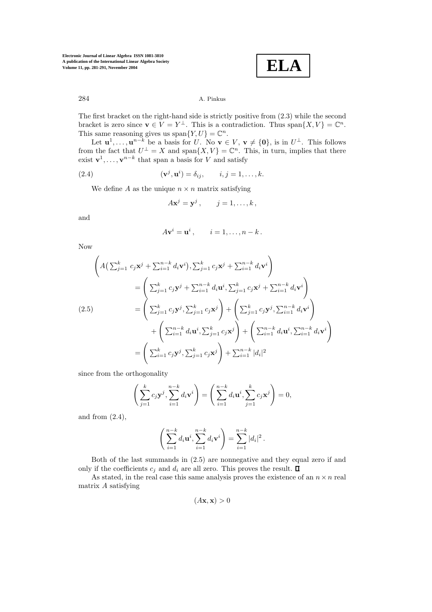**ELA**

# 284 A. Pinkus

The first bracket on the right-hand side is strictly positive from (2.3) while the second bracket is zero since  $\mathbf{v} \in V = Y^{\perp}$ . This is a contradiction. Thus span $\{X, V\} = \mathbb{C}^n$ . This same reasoning gives us span $\{Y, U\} = \mathbb{C}^n$ .

Let  $\mathbf{u}^1, \ldots, \mathbf{u}^{n-k}$  be a basis for U. No  $\mathbf{v} \in V$ ,  $\mathbf{v} \neq \{\mathbf{0}\}\)$ , is in  $U^{\perp}$ . This follows from the fact that  $U^{\perp} = X$  and span $\{X, V\} = \mathbb{C}^n$ . This, in turn, implies that there exist  $\mathbf{v}^1, \ldots, \mathbf{v}^{n-k}$  that span a basis for V and satisfy

(2.4) 
$$
(\mathbf{v}^j, \mathbf{u}^i) = \delta_{ij}, \qquad i, j = 1, \dots, k.
$$

We define A as the unique  $n \times n$  matrix satisfying

$$
A\mathbf{x}^j = \mathbf{y}^j\,,\qquad j=1,\ldots,k\,,
$$

and

$$
A\mathbf{v}^i = \mathbf{u}^i, \qquad i = 1,\ldots,n-k.
$$

Now

$$
\left(A\left(\sum_{j=1}^{k}c_{j}\mathbf{x}^{j}+\sum_{i=1}^{n-k}d_{i}\mathbf{v}^{i}\right),\sum_{j=1}^{k}c_{j}\mathbf{x}^{j}+\sum_{i=1}^{n-k}d_{i}\mathbf{v}^{i}\right) \n= \left(\sum_{j=1}^{k}c_{j}\mathbf{y}^{j}+\sum_{i=1}^{n-k}d_{i}\mathbf{u}^{i},\sum_{j=1}^{k}c_{j}\mathbf{x}^{j}+\sum_{i=1}^{n-k}d_{i}\mathbf{v}^{i}\right) \n= \left(\sum_{j=1}^{k}c_{j}\mathbf{y}^{j},\sum_{j=1}^{k}c_{j}\mathbf{x}^{j}\right)+\left(\sum_{j=1}^{k}c_{j}\mathbf{y}^{j},\sum_{i=1}^{n-k}d_{i}\mathbf{v}^{i}\right) \n+ \left(\sum_{i=1}^{n-k}d_{i}\mathbf{u}^{i},\sum_{j=1}^{k}c_{j}\mathbf{x}^{j}\right)+\left(\sum_{i=1}^{n-k}d_{i}\mathbf{u}^{i},\sum_{i=1}^{n-k}d_{i}\mathbf{v}^{i}\right) \n= \left(\sum_{i=1}^{k}c_{j}\mathbf{y}^{j},\sum_{j=1}^{k}c_{j}\mathbf{x}^{j}\right)+\sum_{i=1}^{n-k}|d_{i}|^{2}
$$

since from the orthogonality

$$
\left(\sum_{j=1}^k c_j \mathbf{y}^j, \sum_{i=1}^{n-k} d_i \mathbf{v}^i\right) = \left(\sum_{i=1}^{n-k} d_i \mathbf{u}^i, \sum_{j=1}^k c_j \mathbf{x}^j\right) = 0,
$$

and from (2.4),

$$
\left(\sum_{i=1}^{n-k} d_i \mathbf{u}^i, \sum_{i=1}^{n-k} d_i \mathbf{v}^i\right) = \sum_{i=1}^{n-k} |d_i|^2.
$$

Both of the last summands in (2.5) are nonnegative and they equal zero if and only if the coefficients  $c_i$  and  $d_i$  are all zero. This proves the result.  $\Box$ 

As stated, in the real case this same analysis proves the existence of an  $n \times n$  real matrix A satisfying

$$
(A\mathbf{x}, \mathbf{x}) > 0
$$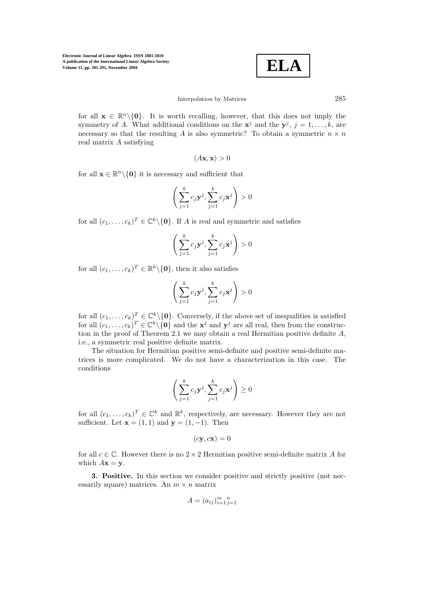**ELA**

### Interpolation by Matrices 285

for all  $\mathbf{x} \in \mathbb{R}^n \setminus \{0\}$ . It is worth recalling, however, that this does not imply the symmetry of A. What additional conditions on the  $\mathbf{x}^{j}$  and the  $\mathbf{v}^{j}$ ,  $j = 1, \ldots, k$ , are necessary so that the resulting A is also symmetric? To obtain a symmetric  $n \times n$ real matrix A satisfying

$$
(A\mathbf{x}, \mathbf{x}) > 0
$$

for all  $\mathbf{x} \in \mathbb{R}^n \setminus \{0\}$  it is necessary and sufficient that

$$
\left(\sum_{j=1}^{k}c_j\mathbf{y}^j,\sum_{j=1}^{k}c_j\mathbf{x}^j\right)>0
$$

for all  $(c_1,\ldots,c_k)^T \in \mathbb{C}^k \setminus \{0\}$ . If A is real and symmetric and satisfies

$$
\left(\sum_{j=1}^{k}c_j\mathbf{y}^j,\sum_{j=1}^{k}c_j\mathbf{x}^j\right)>0
$$

for all  $(c_1,\ldots,c_k)^T \in \mathbb{R}^k \setminus \{0\}$ , then it also satisfies

$$
\left(\sum_{j=1}^{k}c_j\mathbf{y}^j,\sum_{j=1}^{k}c_j\mathbf{x}^j\right)>0
$$

for all  $(c_1,\ldots,c_k)^T \in \mathbb{C}^k \setminus \{0\}$ . Conversely, if the above set of inequalities is satisfied for all  $(c_1,\ldots,c_k)^T \in \mathbb{C}^k \setminus \{0\}$  and the  $\mathbf{x}^j$  and  $\mathbf{y}^j$  are all real, then from the construction in the proof of Theorem 2.1 we may obtain a real Hermitian positive definite  $A$ , i.e., a symmetric real positive definite matrix.

The situation for Hermitian positive semi-definite and positive semi-definite matrices is more complicated. We do not have a characterization in this case. The conditions

$$
\left(\sum_{j=1}^k c_j \mathbf{y}^j, \sum_{j=1}^k c_j \mathbf{x}^j\right) \geq 0
$$

for all  $(c_1,\ldots,c_k)^T \in \mathbb{C}^k$  and  $\mathbb{R}^k$ , respectively, are necessary. However they are not sufficient. Let  $\mathbf{x} = (1, 1)$  and  $\mathbf{y} = (1, -1)$ . Then

$$
(c\mathbf{y}, c\mathbf{x}) = 0
$$

for all  $c \in \mathbb{C}$ . However there is no  $2 \times 2$  Hermitian positive semi-definite matrix A for which  $A\mathbf{x} = \mathbf{y}$ .

**3. Positive.** In this section we consider positive and strictly positive (not necessarily square) matrices. An  $m \times n$  matrix

$$
A = (a_{ij})_{i=1}^m \mathbf{1}_{j=1}^n
$$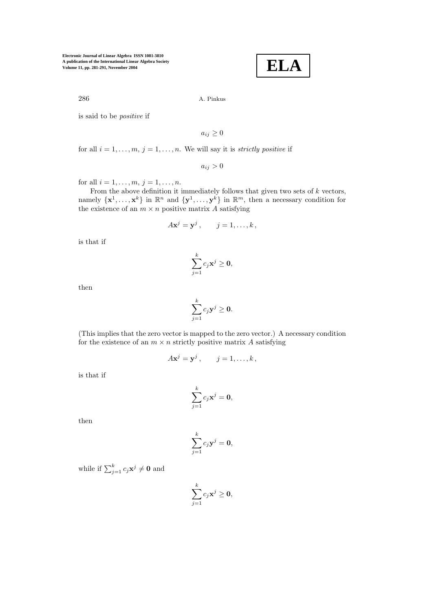**ELA**

286 A. Pinkus

is said to be *positive* if

 $a_{ij} \geq 0$ 

for all  $i = 1, \ldots, m, j = 1, \ldots, n$ . We will say it is *strictly positive* if

 $a_{ij} > 0$ 

for all  $i = 1, ..., m, j = 1, ..., n$ .

From the above definition it immediately follows that given two sets of  $k$  vectors, namely  $\{\mathbf{x}^1,\ldots,\mathbf{x}^k\}$  in  $\mathbb{R}^n$  and  $\{\mathbf{y}^1,\ldots,\mathbf{y}^k\}$  in  $\mathbb{R}^m$ , then a necessary condition for the existence of an  $m \times n$  positive matrix A satisfying

$$
A\mathbf{x}^j = \mathbf{y}^j\,,\qquad j=1,\ldots,k\,,
$$

is that if

$$
\sum_{j=1}^k c_j \mathbf{x}^j \ge \mathbf{0},
$$

then

$$
\sum_{j=1}^k c_j \mathbf{y}^j \ge \mathbf{0}.
$$

(This implies that the zero vector is mapped to the zero vector.) A necessary condition for the existence of an  $m \times n$  strictly positive matrix A satisfying

$$
A\mathbf{x}^j = \mathbf{y}^j\,,\qquad j=1,\ldots,k\,,
$$

is that if

$$
\sum_{j=1}^k c_j \mathbf{x}^j = \mathbf{0},
$$

then

$$
\sum_{j=1}^k c_j \mathbf{y}^j = \mathbf{0},
$$

while if  $\sum_{j=1}^{k} c_j \mathbf{x}^j \neq \mathbf{0}$  and

$$
\sum_{j=1}^k c_j {\mathbf x}^j \geq \mathbf{0},
$$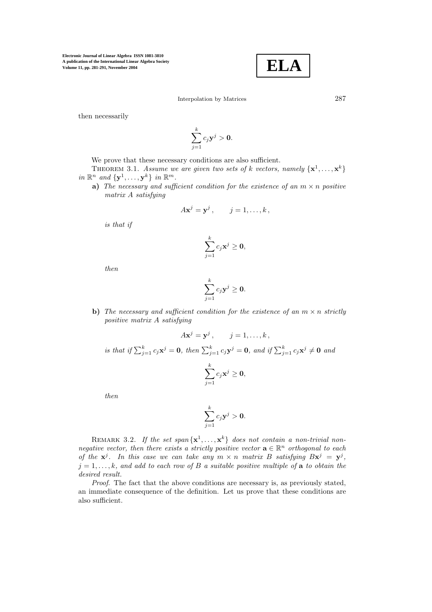

Interpolation by Matrices 287

then necessarily

$$
\sum_{j=1}^k c_j \mathbf{y}^j > \mathbf{0}.
$$

We prove that these necessary conditions are also sufficient.

THEOREM 3.1. *Assume we are given two sets of* k *vectors, namely*  $\{x^1, \ldots, x^k\}$ *in*  $\mathbb{R}^n$  *and*  $\{y^1, \ldots, y^k\}$  *in*  $\mathbb{R}^m$ *.* 

**a)** *The necessary and sufficient condition for the existence of an*  $m \times n$  *positive matrix* A *satisfying*

$$
A\mathbf{x}^j = \mathbf{y}^j\,,\qquad j=1,\ldots,k\,,
$$

*is that if*

$$
\sum_{j=1}^k c_j \mathbf{x}^j \ge \mathbf{0},
$$

*then*

$$
\sum_{j=1}^k c_j \mathbf{y}^j \ge \mathbf{0}.
$$

**b)** *The necessary and sufficient condition for the existence of an*  $m \times n$  *strictly positive matrix* A *satisfying*

$$
A\mathbf{x}^j = \mathbf{y}^j, \qquad j = 1, \dots, k,
$$
  
is that if  $\sum_{j=1}^k c_j \mathbf{x}^j = \mathbf{0}$ , then  $\sum_{j=1}^k c_j \mathbf{y}^j = \mathbf{0}$ , and if  $\sum_{j=1}^k c_j \mathbf{x}^j \neq \mathbf{0}$  and  

$$
\sum_{j=1}^k c_j \mathbf{x}^j \ge \mathbf{0},
$$

*then*

$$
\sum_{j=1}^k c_j \mathbf{y}^j > \mathbf{0}.
$$

REMARK 3.2. If the set span $\{x^1, \ldots, x^k\}$  does not contain a non-trivial non*negative vector, then there exists a strictly positive vector*  $\mathbf{a} \in \mathbb{R}^n$  *orthogonal to each of the*  $\mathbf{x}^{j}$ *. In this case we can take any*  $m \times n$  *matrix* B *satisfying*  $B\mathbf{x}^{j} = \mathbf{y}^{j}$ *,*  $j = 1, \ldots, k$ , and add to each row of B a suitable positive multiple of **a** to obtain the *desired result.*

*Proof.* The fact that the above conditions are necessary is, as previously stated, an immediate consequence of the definition. Let us prove that these conditions are also sufficient.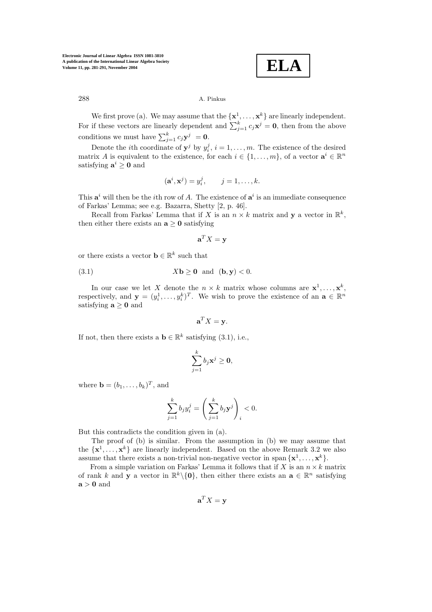**ELA**

# 288 A. Pinkus

We first prove (a). We may assume that the  $\{x^1, \ldots, x^k\}$  are linearly independent. For if these vectors are linearly dependent and  $\sum_{j=1}^{k} c_j \mathbf{x}^j = \mathbf{0}$ , then from the above conditions we must have  $\sum_{j=1}^{k} c_j \mathbf{y}^j = \mathbf{0}$ .

Denote the *i*th coordinate of  $y^j$  by  $y_i^j$ ,  $i = 1, \ldots, m$ . The existence of the desired matrix A is equivalent to the existence, for each  $i \in \{1, \ldots, m\}$ , of a vector  $\mathbf{a}^i \in \mathbb{R}^n$ satisfying  $a^i \geq 0$  and

$$
(\mathbf{a}^i, \mathbf{x}^j) = y_i^j, \qquad j = 1, \dots, k.
$$

This  $\mathbf{a}^i$  will then be the *i*th row of A. The existence of  $\mathbf{a}^i$  is an immediate consequence of Farkas' Lemma; see e.g. Bazarra, Shetty [2, p. 46].

Recall from Farkas' Lemma that if X is an  $n \times k$  matrix and **y** a vector in  $\mathbb{R}^k$ , then either there exists an  $a > 0$  satisfying

$$
\mathbf{a}^T X = \mathbf{y}
$$

or there exists a vector **b**  $\in \mathbb{R}^k$  such that

(3.1) 
$$
X\mathbf{b} \ge \mathbf{0}
$$
 and  $(\mathbf{b}, \mathbf{y}) < 0$ .

In our case we let X denote the  $n \times k$  matrix whose columns are  $\mathbf{x}^1, \ldots, \mathbf{x}^k$ , respectively, and  $\mathbf{y} = (y_i^1, \ldots, y_i^k)^T$ . We wish to prove the existence of an  $\mathbf{a} \in \mathbb{R}^n$ satisfying  $a > 0$  and

$$
\mathbf{a}^T X = \mathbf{y}.
$$

If not, then there exists a **b**  $\in \mathbb{R}^k$  satisfying (3.1), i.e.,

$$
\sum_{j=1}^k b_j {\mathbf x}^j \geq \mathbf{0},
$$

where  $\mathbf{b} = (b_1, \ldots, b_k)^T$ , and

$$
\sum_{j=1}^k b_j y_i^j = \left(\sum_{j=1}^k b_j \mathbf{y}^j\right)_i < 0.
$$

But this contradicts the condition given in (a).

The proof of (b) is similar. From the assumption in (b) we may assume that the  $\{x^1, \ldots, x^k\}$  are linearly independent. Based on the above Remark 3.2 we also assume that there exists a non-trivial non-negative vector in span  $\{x^1, \ldots, x^k\}$ .

From a simple variation on Farkas' Lemma it follows that if X is an  $n \times k$  matrix of rank k and **y** a vector in  $\mathbb{R}^k \setminus \{0\}$ , then either there exists an  $\mathbf{a} \in \mathbb{R}^n$  satisfying  $a > 0$  and

$$
\mathbf{a}^T X = \mathbf{y}
$$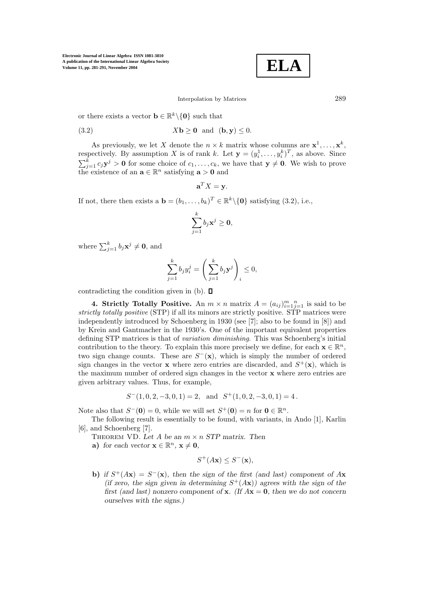**ELA**

Interpolation by Matrices 289

or there exists a vector  $\mathbf{b} \in \mathbb{R}^k \setminus \{\mathbf{0}\}\)$  such that

(3.2) 
$$
X\mathbf{b} \geq \mathbf{0}
$$
 and  $(\mathbf{b}, \mathbf{y}) \leq 0$ .

As previously, we let X denote the  $n \times k$  matrix whose columns are  $\mathbf{x}^1, \ldots, \mathbf{x}^k$ , respectively. By assumption X is of rank k. Let  $\mathbf{y} = (y_i^1, \dots, y_i^k)^T$ , as above. Since  $\sum_{j=1}^{k} c_j \mathbf{y}^j > \mathbf{0}$  for some choice of  $c_1, \ldots, c_k$ , we have that  $\mathbf{y} \neq \mathbf{0}$ . We wish to prove the existence of an  $\mathbf{a} \in \mathbb{R}^n$  satisfying  $\mathbf{a} > \mathbf{0}$  and

$$
\mathbf{a}^T X = \mathbf{y}.
$$

If not, there then exists a **b** =  $(b_1, \ldots, b_k)^T \in \mathbb{R}^k \setminus \{0\}$  satisfying (3.2), i.e.,

$$
\sum_{j=1}^k b_j {\mathbf x}^j \geq \mathbf{0},
$$

where  $\sum_{j=1}^{k} b_j \mathbf{x}^j \neq \mathbf{0}$ , and

$$
\sum_{j=1}^k b_j y_i^j = \left(\sum_{j=1}^k b_j \mathbf{y}^j\right)_i \le 0,
$$

contradicting the condition given in  $(b)$ .  $\Box$ 

**4. Strictly Totally Positive.** An  $m \times n$  matrix  $A = (a_{ij})_{i=1}^m i_{j=1}^n$  is said to be *strictly totally positive* (STP) if all its minors are strictly positive. STP matrices were independently introduced by Schoenberg in 1930 (see [7]; also to be found in [8]) and by Krein and Gantmacher in the 1930's. One of the important equivalent properties defining STP matrices is that of *variation diminishing*. This was Schoenberg's initial contribution to the theory. To explain this more precisely we define, for each  $\mathbf{x} \in \mathbb{R}^n$ , two sign change counts. These are  $S^{-}(\mathbf{x})$ , which is simply the number of ordered sign changes in the vector **x** where zero entries are discarded, and  $S^+(\mathbf{x})$ , which is the maximum number of ordered sign changes in the vector **x** where zero entries are given arbitrary values. Thus, for example,

$$
S^{-}(1,0,2,-3,0,1) = 2
$$
, and  $S^{+}(1,0,2,-3,0,1) = 4$ .

Note also that  $S^{-}(\mathbf{0}) = 0$ , while we will set  $S^{+}(\mathbf{0}) = n$  for  $\mathbf{0} \in \mathbb{R}^{n}$ .

The following result is essentially to be found, with variants, in Ando [1], Karlin [6], and Schoenberg [7].

THEOREM VD. Let A be an  $m \times n$  *STP* matrix. Then

**a**) *for each vector*  $\mathbf{x} \in \mathbb{R}^n$ ,  $\mathbf{x} \neq \mathbf{0}$ ,

$$
S^+(A\mathbf{x}) \le S^-(\mathbf{x}),
$$

**b)** *if*  $S^+(A\mathbf{x}) = S^-(\mathbf{x})$ *, then the sign of the first (and last) component of* A**x** *(if zero, the sign given in determining*  $S^+(A\mathbf{x})$ *) agrees with the sign of the first (and last) nonzero component of* **x***. (If*  $A$ **x** = **0***, then we do not concern ourselves with the signs.)*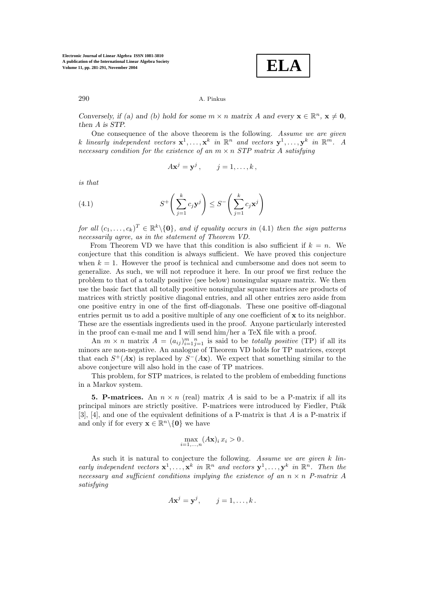**ELA**

## 290 A. Pinkus

*Conversely, if (a) and (b) hold for some*  $m \times n$  *matrix* A and every  $\mathbf{x} \in \mathbb{R}^n$ ,  $\mathbf{x} \neq \mathbf{0}$ *, then* A *is STP.*

One consequence of the above theorem is the following. *Assume we are given* k linearly independent vectors  $\mathbf{x}^1, \ldots, \mathbf{x}^k$  *in*  $\mathbb{R}^n$  *and vectors*  $\mathbf{y}^1, \ldots, \mathbf{y}^k$  *in*  $\mathbb{R}^m$ *. A necessary condition for the existence of an*  $m \times n$  *STP matrix* A *satisfying* 

$$
A\mathbf{x}^j = \mathbf{y}^j, \qquad j = 1, \dots, k,
$$

*is that*

(4.1) 
$$
S^+\left(\sum_{j=1}^k c_j \mathbf{y}^j\right) \leq S^-\left(\sum_{j=1}^k c_j \mathbf{x}^j\right)
$$

*for all*  $(c_1, \ldots, c_k)^T \in \mathbb{R}^k \setminus \{0\}$ *, and if equality occurs in* (4.1) *then the sign patterns necessarily agree, as in the statement of Theorem VD.*

From Theorem VD we have that this condition is also sufficient if  $k = n$ . We conjecture that this condition is always sufficient. We have proved this conjecture when  $k = 1$ . However the proof is technical and cumbersome and does not seem to generalize. As such, we will not reproduce it here. In our proof we first reduce the problem to that of a totally positive (see below) nonsingular square matrix. We then use the basic fact that all totally positive nonsingular square matrices are products of matrices with strictly positive diagonal entries, and all other entries zero aside from one positive entry in one of the first off-diagonals. These one positive off-diagonal entries permit us to add a positive multiple of any one coefficient of **x** to its neighbor. These are the essentials ingredients used in the proof. Anyone particularly interested in the proof can e-mail me and I will send him/her a TeX file with a proof.

An  $m \times n$  matrix  $A = (a_{ij})_{i=1}^m \sum_{j=1}^n a_{ij}$  is said to be *totally positive* (TP) if all its minors are non-negative. An analogue of Theorem VD holds for TP matrices, except that each  $S^+(A\mathbf{x})$  is replaced by  $S^-(A\mathbf{x})$ . We expect that something similar to the above conjecture will also hold in the case of TP matrices.

This problem, for STP matrices, is related to the problem of embedding functions in a Markov system.

**5. P-matrices.** An  $n \times n$  (real) matrix A is said to be a P-matrix if all its principal minors are strictly positive. P-matrices were introduced by Fiedler, Pta $\hat{k}$ [3], [4], and one of the equivalent definitions of a P-matrix is that  $A$  is a P-matrix if and only if for every  $\mathbf{x} \in \mathbb{R}^n \setminus \{0\}$  we have

$$
\max_{i=1,\ldots,n} (A\mathbf{x})_i x_i > 0.
$$

As such it is natural to conjecture the following. *Assume we are given* k *linearly independent vectors*  $\mathbf{x}^1, \ldots, \mathbf{x}^k$  *in*  $\mathbb{R}^n$  *and vectors*  $\mathbf{v}^1, \ldots, \mathbf{v}^k$  *in*  $\mathbb{R}^n$ *. Then the necessary and sufficient conditions implying the existence of an*  $n \times n$  *P-matrix* A *satisfying*

$$
A\mathbf{x}^j = \mathbf{y}^j, \qquad j = 1, \ldots, k.
$$